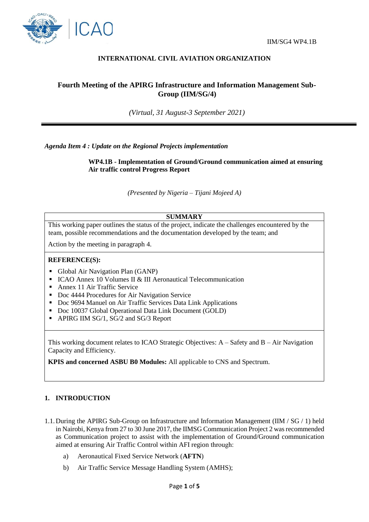



## **INTERNATIONAL CIVIL AVIATION ORGANIZATION**

# **Fourth Meeting of the APIRG Infrastructure and Information Management Sub-Group (IIM/SG/4)**

*(Virtual, 31 August-3 September 2021)*

*Agenda Item 4 : Update on the Regional Projects implementation* 

**WP4.1B - Implementation of Ground/Ground communication aimed at ensuring Air traffic control Progress Report**

*(Presented by Nigeria – Tijani Mojeed A)*

### **SUMMARY**

This working paper outlines the status of the project, indicate the challenges encountered by the team, possible recommendations and the documentation developed by the team; and

Action by the meeting in paragraph 4.

#### **REFERENCE(S):**

- Global Air Navigation Plan (GANP)
- ICAO Annex 10 Volumes II & III Aeronautical Telecommunication
- Annex 11 Air Traffic Service
- Doc 4444 Procedures for Air Navigation Service
- Doc 9694 Manuel on Air Traffic Services Data Link Applications
- Doc 10037 Global Operational Data Link Document (GOLD)
- APIRG IIM SG/1, SG/2 and SG/3 Report

This working document relates to ICAO Strategic Objectives:  $A - S$ afety and  $B - Air$  Navigation Capacity and Efficiency.

**KPIS and concerned ASBU B0 Modules:** All applicable to CNS and Spectrum.

## **1. INTRODUCTION**

- 1.1.During the APIRG Sub-Group on Infrastructure and Information Management (IIM / SG / 1) held in Nairobi, Kenya from 27 to 30 June 2017, the IIMSG Communication Project 2 was recommended as Communication project to assist with the implementation of Ground/Ground communication aimed at ensuring Air Traffic Control within AFI region through:
	- a) Aeronautical Fixed Service Network (**AFTN**)
	- b) Air Traffic Service Message Handling System (AMHS);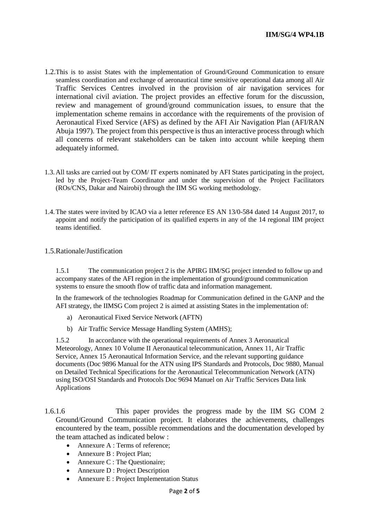- 1.2.This is to assist States with the implementation of Ground/Ground Communication to ensure seamless coordination and exchange of aeronautical time sensitive operational data among all Air Traffic Services Centres involved in the provision of air navigation services for international civil aviation. The project provides an effective forum for the discussion, review and management of ground/ground communication issues, to ensure that the implementation scheme remains in accordance with the requirements of the provision of Aeronautical Fixed Service (AFS) as defined by the AFI Air Navigation Plan (AFI/RAN Abuja 1997). The project from this perspective is thus an interactive process through which all concerns of relevant stakeholders can be taken into account while keeping them adequately informed.
- 1.3.All tasks are carried out by COM/ IT experts nominated by AFI States participating in the project, led by the Project-Team Coordinator and under the supervision of the Project Facilitators (ROs/CNS, Dakar and Nairobi) through the IIM SG working methodology.
- 1.4.The states were invited by ICAO via a letter reference ES AN 13/0-584 dated 14 August 2017, to appoint and notify the participation of its qualified experts in any of the 14 regional IIM project teams identified.
- 1.5.Rationale/Justification

1.5.1 The communication project 2 is the APIRG IIM/SG project intended to follow up and accompany states of the AFI region in the implementation of ground/ground communication systems to ensure the smooth flow of traffic data and information management.

In the framework of the technologies Roadmap for Communication defined in the GANP and the AFI strategy, the IIMSG Com project 2 is aimed at assisting States in the implementation of:

- a) Aeronautical Fixed Service Network (AFTN)
- b) Air Traffic Service Message Handling System (AMHS);

1.5.2 In accordance with the operational requirements of Annex 3 Aeronautical Meteorology, Annex 10 Volume II Aeronautical telecommunication, Annex 11, Air Traffic Service, Annex 15 Aeronautical Information Service, and the relevant supporting guidance documents (Doc 9896 Manual for the ATN using IPS Standards and Protocols, Doc 9880, Manual on Detailed Technical Specifications for the Aeronautical Telecommunication Network (ATN) using ISO/OSI Standards and Protocols Doc 9694 Manuel on Air Traffic Services Data link Applications

1.6.1.6 This paper provides the progress made by the IIM SG COM 2 Ground/Ground Communication project. It elaborates the achievements, challenges encountered by the team, possible recommendations and the documentation developed by the team attached as indicated below :

- Annexure A : Terms of reference;
- Annexure B : Project Plan;
- Annexure C : The Questionaire;
- Annexure D : Project Description
- Annexure E : Project Implementation Status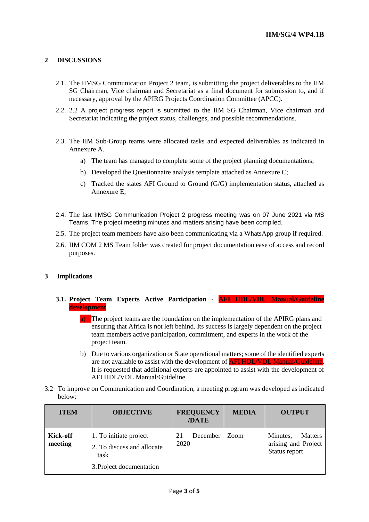## **2 DISCUSSIONS**

- 2.1. The IIMSG Communication Project 2 team, is submitting the project deliverables to the IIM SG Chairman, Vice chairman and Secretariat as a final document for submission to, and if necessary, approval by the APIRG Projects Coordination Committee (APCC).
- 2.2. 2.2 A project progress report is submitted to the IIM SG Chairman, Vice chairman and Secretariat indicating the project status, challenges, and possible recommendations.
- 2.3. The IIM Sub-Group teams were allocated tasks and expected deliverables as indicated in Annexure A.
	- a) The team has managed to complete some of the project planning documentations;
	- b) Developed the Questionnaire analysis template attached as Annexure C;
	- c) Tracked the states AFI Ground to Ground (G/G) implementation status, attached as Annexure E;
- 2.4. The last IIMSG Communication Project 2 progress meeting was on 07 June 2021 via MS Teams. The project meeting minutes and matters arising have been compiled.
- 2.5. The project team members have also been communicating via a WhatsApp group if required.
- 2.6. IIM COM 2 MS Team folder was created for project documentation ease of access and record purposes.

#### **3 Implications**

### **3.1. Project Team Experts Active Participation - AFI HDL/VDL Manual/Guideline development**

- a) The project teams are the foundation on the implementation of the APIRG plans and ensuring that Africa is not left behind. Its success is largely dependent on the project team members active participation, commitment, and experts in the work of the project team.
- b) Due to various organization or State operational matters; some of the identified experts are not available to assist with the development of AFI HDL/VDL Manual/Guideline. It is requested that additional experts are appointed to assist with the development of AFI HDL/VDL Manual/Guideline.
- 3.2 To improve on Communication and Coordination, a meeting program was developed as indicated below:

| <b>ITEM</b>         | <b>OBJECTIVE</b>                                                                         | <b>FREQUENCY</b><br>/DATE | <b>MEDIA</b> | <b>OUTPUT</b>                                                      |
|---------------------|------------------------------------------------------------------------------------------|---------------------------|--------------|--------------------------------------------------------------------|
| Kick-off<br>meeting | 1. To initiate project<br>2. To discuss and allocate<br>task<br>3. Project documentation | December<br>21<br>2020    | Zoom         | Minutes,<br><b>Matters</b><br>arising and Project<br>Status report |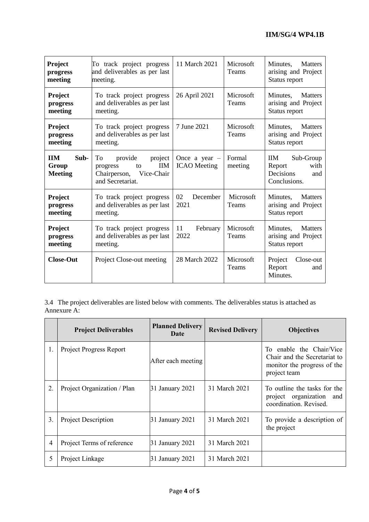| <b>Project</b><br>progress<br>meeting         | To track project progress<br>and deliverables as per last<br>meeting.                                   | 11 March 2021                          | Microsoft<br>Teams | Minutes.<br><b>Matters</b><br>arising and Project<br>Status report            |
|-----------------------------------------------|---------------------------------------------------------------------------------------------------------|----------------------------------------|--------------------|-------------------------------------------------------------------------------|
| <b>Project</b><br>progress<br>meeting         | To track project progress<br>and deliverables as per last<br>meeting.                                   | 26 April 2021                          | Microsoft<br>Teams | Minutes,<br><b>Matters</b><br>arising and Project<br>Status report            |
| <b>Project</b><br>progress<br>meeting         | To track project progress<br>and deliverables as per last<br>meeting.                                   | 7 June 2021                            | Microsoft<br>Teams | Minutes,<br><b>Matters</b><br>arising and Project<br>Status report            |
| <b>IIM</b><br>Sub-<br>Group<br><b>Meeting</b> | To<br>provide<br>project<br><b>IIM</b><br>progress<br>to<br>Chairperson, Vice-Chair<br>and Secretariat. | Once a year $-$<br><b>ICAO</b> Meeting | Formal<br>meeting  | <b>IIM</b><br>Sub-Group<br>with<br>Report<br>Decisions<br>and<br>Conclusions. |
| Project<br>progress<br>meeting                | To track project progress<br>and deliverables as per last<br>meeting.                                   | December<br>02<br>2021                 | Microsoft<br>Teams | <b>Matters</b><br>Minutes,<br>arising and Project<br>Status report            |
| Project<br>progress<br>meeting                | To track project progress<br>and deliverables as per last<br>meeting.                                   | 11<br>February<br>2022                 | Microsoft<br>Teams | Minutes,<br><b>Matters</b><br>arising and Project<br>Status report            |
| <b>Close-Out</b>                              | Project Close-out meeting                                                                               | 28 March 2022                          | Microsoft<br>Teams | Project<br>Close-out<br>Report<br>and<br>Minutes.                             |

3.4 The project deliverables are listed below with comments. The deliverables status is attached as Annexure A:

|    | <b>Project Deliverables</b>    | <b>Planned Delivery</b><br>Date | <b>Revised Delivery</b> | <b>Objectives</b>                                                                                       |
|----|--------------------------------|---------------------------------|-------------------------|---------------------------------------------------------------------------------------------------------|
| 1. | <b>Project Progress Report</b> | After each meeting              |                         | To enable the Chair/Vice<br>Chair and the Secretariat to<br>monitor the progress of the<br>project team |
| 2. | Project Organization / Plan    | 31 January 2021                 | 31 March 2021           | To outline the tasks for the<br>project organization and<br>coordination. Revised.                      |
| 3. | <b>Project Description</b>     | 31 January 2021                 | 31 March 2021           | To provide a description of<br>the project                                                              |
| 4  | Project Terms of reference     | 31 January 2021                 | 31 March 2021           |                                                                                                         |
| 5  | Project Linkage                | 31 January 2021                 | 31 March 2021           |                                                                                                         |